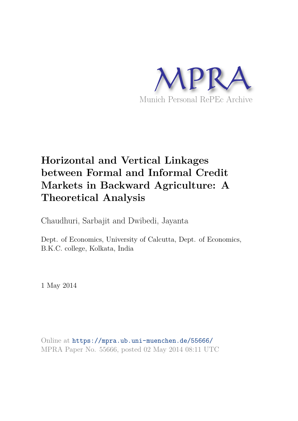

# **Horizontal and Vertical Linkages between Formal and Informal Credit Markets in Backward Agriculture: A Theoretical Analysis**

Chaudhuri, Sarbajit and Dwibedi, Jayanta

Dept. of Economics, University of Calcutta, Dept. of Economics, B.K.C. college, Kolkata, India

1 May 2014

Online at https://mpra.ub.uni-muenchen.de/55666/ MPRA Paper No. 55666, posted 02 May 2014 08:11 UTC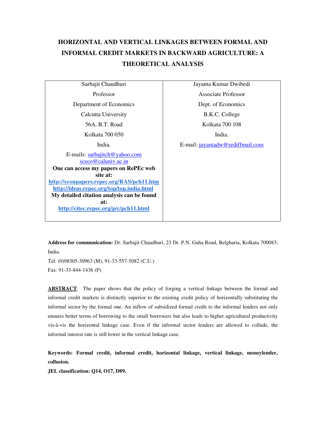## **HORIZONTAL AND VERTICAL LINKAGES BETWEEN FORMAL AND INFORMAL CREDIT MARKETS IN BACKWARD AGRICULTURE: A THEORETICAL ANALYSIS**

Sarbajit Chaudhuri Professor Department of Economics Calcutta University 56A, B.T. Road Kolkata 700 050 India. E-mails: sarbajitch@yahoo.com sceco@caluniv.ac.in **One can access my papers on RePEc web site at: http://econpapers.repec.org/RAS/pch11.htm http://ideas.repec.org/top/top.india.html My detailed citation analysis can be found at: http://citec.repec.org/p/c/pch11.html** Jayanta Kumar Dwibedi Associate Professor Dept. of Economics B.K.C. College Kolkata 700 108 India. E-mail: jayantadw@rediffmail.com

**Address for communication:** Dr. Sarbajit Chaudhuri, 23 Dr. P.N. Guha Road, Belgharia, Kolkata 700083, India.

Tel: (0)98305-30963 (M), 91-33-557-5082 (C.U.) Fax: 91-33-844-1436 (P)

**ABSTRACT**: The paper shows that the policy of forging a vertical linkage between the formal and informal credit markets is distinctly superior to the existing credit policy of horizontally substituting the informal sector by the formal one. An inflow of subsidized formal credit to the informal lenders not only ensures better terms of borrowing to the small borrowers but also leads to higher agricultural productivity vis-à-vis the horizontal linkage case. Even if the informal sector lenders are allowed to collude, the informal interest rate is still lower in the vertical linkage case.

**Keywords: Formal credit, informal credit, horizontal linkage, vertical linkage, moneylender, collusion.** 

**JEL classification: Q14, O17, D89.**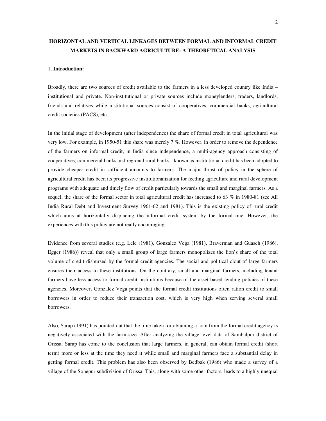### **HORIZONTAL AND VERTICAL LINKAGES BETWEEN FORMAL AND INFORMAL CREDIT MARKETS IN BACKWARD AGRICULTURE: A THEORETICAL ANALYSIS**

#### 1. **Introduction:**

Broadly, there are two sources of credit available to the farmers in a less developed country like India – institutional and private. Non-institutional or private sources include moneylenders, traders, landlords, friends and relatives while institutional sources consist of cooperatives, commercial banks, agricultural credit societies (PACS), etc.

In the initial stage of development (after independence) the share of formal credit in total agricultural was very low. For example, in 1950-51 this share was merely 7 %. However, in order to remove the dependence of the farmers on informal credit, in India since independence, a multi-agency approach consisting of cooperatives, commercial banks and regional rural banks - known as institutional credit has been adopted to provide cheaper credit in sufficient amounts to farmers. The major thrust of policy in the sphere of agricultural credit has been its progressive institutionalization for feeding agriculture and rural development programs with adequate and timely flow of credit particularly towards the small and marginal farmers. As a sequel, the share of the formal sector in total agricultural credit has increased to 63 % in 1980-81 (see All India Rural Debt and Investment Survey 1961-62 and 1981). This is the existing policy of rural credit which aims at horizontally displacing the informal credit system by the formal one. However, the experiences with this policy are not really encouraging.

Evidence from several studies (e.g. Lele (1981), Gonzalez Vega (1981), Braverman and Guasch (1986), Egger (1986)) reveal that only a small group of large farmers monopolizes the lion's share of the total volume of credit disbursed by the formal credit agencies. The social and political clout of large farmers ensures their access to these institutions. On the contrary, small and marginal farmers, including tenant farmers have less access to formal credit institutions because of the asset-based lending policies of these agencies. Moreover, Gonzalez Vega points that the formal credit institutions often ration credit to small borrowers in order to reduce their transaction cost, which is very high when serving several small borrowers.

Also, Sarap (1991) has pointed out that the time taken for obtaining a loan from the formal credit agency is negatively associated with the farm size. After analyzing the village level data of Sambalpur district of Orissa, Sarap has come to the conclusion that large farmers, in general, can obtain formal credit (short term) more or less at the time they need it while small and marginal farmers face a substantial delay in getting formal credit. This problem has also been observed by Bedbak (1986) who made a survey of a village of the Sonepur subdivision of Orissa. This, along with some other factors, leads to a highly unequal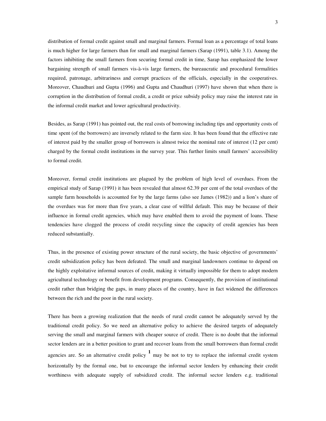distribution of formal credit against small and marginal farmers. Formal loan as a percentage of total loans is much higher for large farmers than for small and marginal farmers (Sarap (1991), table 3.1). Among the factors inhibiting the small farmers from securing formal credit in time, Sarap has emphasized the lower bargaining strength of small farmers vis-à-vis large farmers, the bureaucratic and procedural formalities required, patronage, arbitrariness and corrupt practices of the officials, especially in the cooperatives. Moreover, Chaudhuri and Gupta (1996) and Gupta and Chaudhuri (1997) have shown that when there is corruption in the distribution of formal credit, a credit or price subsidy policy may raise the interest rate in the informal credit market and lower agricultural productivity.

Besides, as Sarap (1991) has pointed out, the real costs of borrowing including tips and opportunity costs of time spent (of the borrowers) are inversely related to the farm size. It has been found that the effective rate of interest paid by the smaller group of borrowers is almost twice the nominal rate of interest (12 per cent) charged by the formal credit institutions in the survey year. This further limits small farmers' accessibility to formal credit.

Moreover, formal credit institutions are plagued by the problem of high level of overdues. From the empirical study of Sarap (1991) it has been revealed that almost 62.39 per cent of the total overdues of the sample farm households is accounted for by the large farms (also see James (1982)) and a lion's share of the overdues was for more than five years, a clear case of willful default. This may be because of their influence in formal credit agencies, which may have enabled them to avoid the payment of loans. These tendencies have clogged the process of credit recycling since the capacity of credit agencies has been reduced substantially.

Thus, in the presence of existing power structure of the rural society, the basic objective of governments' credit subsidization policy has been defeated. The small and marginal landowners continue to depend on the highly exploitative informal sources of credit, making it virtually impossible for them to adopt modern agricultural technology or benefit from development programs. Consequently, the provision of institutional credit rather than bridging the gaps, in many places of the country, have in fact widened the differences between the rich and the poor in the rural society.

There has been a growing realization that the needs of rural credit cannot be adequately served by the traditional credit policy. So we need an alternative policy to achieve the desired targets of adequately serving the small and marginal farmers with cheaper source of credit. There is no doubt that the informal sector lenders are in a better position to grant and recover loans from the small borrowers than formal credit agencies are. So an alternative credit policy  $\frac{1}{n}$  may be not to try to replace the informal credit system horizontally by the formal one, but to encourage the informal sector lenders by enhancing their credit worthiness with adequate supply of subsidized credit. The informal sector lenders e.g. traditional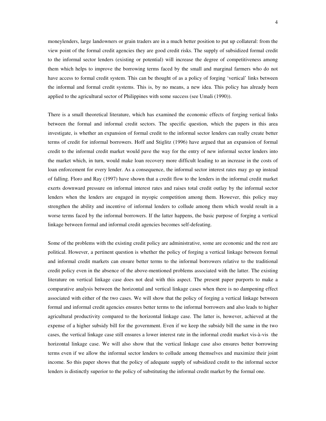moneylenders, large landowners or grain traders are in a much better position to put up collateral: from the view point of the formal credit agencies they are good credit risks. The supply of subsidized formal credit to the informal sector lenders (existing or potential) will increase the degree of competitiveness among them which helps to improve the borrowing terms faced by the small and marginal farmers who do not have access to formal credit system. This can be thought of as a policy of forging 'vertical' links between the informal and formal credit systems. This is, by no means, a new idea. This policy has already been applied to the agricultural sector of Philippines with some success (see Umali (1990)).

There is a small theoretical literature, which has examined the economic effects of forging vertical links between the formal and informal credit sectors. The specific question, which the papers in this area investigate, is whether an expansion of formal credit to the informal sector lenders can really create better terms of credit for informal borrowers. Hoff and Stiglitz (1996) have argued that an expansion of formal credit to the informal credit market would pave the way for the entry of new informal sector lenders into the market which, in turn, would make loan recovery more difficult leading to an increase in the costs of loan enforcement for every lender. As a consequence, the informal sector interest rates may go up instead of falling. Floro and Ray (1997) have shown that a credit flow to the lenders in the informal credit market exerts downward pressure on informal interest rates and raises total credit outlay by the informal sector lenders when the lenders are engaged in myopic competition among them. However, this policy may strengthen the ability and incentive of informal lenders to collude among them which would result in a worse terms faced by the informal borrowers. If the latter happens, the basic purpose of forging a vertical linkage between formal and informal credit agencies becomes self-defeating.

Some of the problems with the existing credit policy are administrative, some are economic and the rest are political. However, a pertinent question is whether the policy of forging a vertical linkage between formal and informal credit markets can ensure better terms to the informal borrowers relative to the traditional credit policy even in the absence of the above-mentioned problems associated with the latter. The existing literature on vertical linkage case does not deal with this aspect. The present paper purports to make a comparative analysis between the horizontal and vertical linkage cases when there is no dampening effect associated with either of the two cases. We will show that the policy of forging a vertical linkage between formal and informal credit agencies ensures better terms to the informal borrowers and also leads to higher agricultural productivity compared to the horizontal linkage case. The latter is, however, achieved at the expense of a higher subsidy bill for the government. Even if we keep the subsidy bill the same in the two cases, the vertical linkage case still ensures a lower interest rate in the informal credit market vis-à-vis the horizontal linkage case. We will also show that the vertical linkage case also ensures better borrowing terms even if we allow the informal sector lenders to collude among themselves and maximize their joint income. So this paper shows that the policy of adequate supply of subsidized credit to the informal sector lenders is distinctly superior to the policy of substituting the informal credit market by the formal one.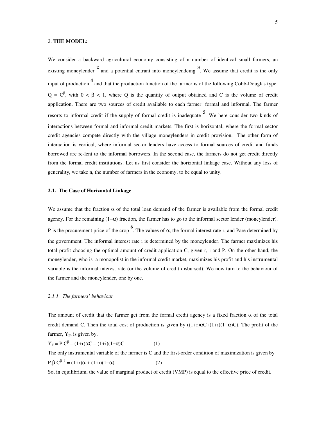#### 2. **THE MODEL:**

We consider a backward agricultural economy consisting of n number of identical small farmers, an existing moneylender <sup>2</sup> and a potential entrant into moneylendeing <sup>3</sup>. We assume that credit is the only input of production **<sup>4</sup>** and that the production function of the farmer is of the following Cobb-Douglas type:  $Q = C^{\beta}$ , with  $0 < \beta < 1$ , where Q is the quantity of output obtained and C is the volume of credit application. There are two sources of credit available to each farmer: formal and informal. The farmer resorts to informal credit if the supply of formal credit is inadequate **<sup>5</sup>** . We here consider two kinds of interactions between formal and informal credit markets. The first is horizontal, where the formal sector credit agencies compete directly with the village moneylenders in credit provision. The other form of interaction is vertical, where informal sector lenders have access to formal sources of credit and funds borrowed are re-lent to the informal borrowers. In the second case, the farmers do not get credit directly from the formal credit institutions. Let us first consider the horizontal linkage case. Without any loss of generality, we take n, the number of farmers in the economy, to be equal to unity.

#### **2.1. The Case of Horizontal Linkage**

We assume that the fraction  $\alpha$  of the total loan demand of the farmer is available from the formal credit agency. For the remaining (1−α) fraction, the farmer has to go to the informal sector lender (moneylender). P is the procurement price of the crop<sup>6</sup>. The values of  $\alpha$ , the formal interest rate r, and Pare determined by the government. The informal interest rate i is determined by the moneylender. The farmer maximizes his total profit choosing the optimal amount of credit application C, given r, i and P. On the other hand, the moneylender, who is a monopolist in the informal credit market, maximizes his profit and his instrumental variable is the informal interest rate (or the volume of credit disbursed). We now turn to the behaviour of the farmer and the moneylender, one by one.

#### *2.1.1. The farmers' behaviour*

The amount of credit that the farmer get from the formal credit agency is a fixed fraction  $\alpha$  of the total credit demand C. Then the total cost of production is given by  $((1+r)\alpha C+(1+i)(1-\alpha)C)$ . The profit of the farmer,  $Y_E$ , is given by,

$$
Y_F = P.C^{\beta} - (1+r)\alpha C - (1+i)(1-\alpha)C
$$
 (1)

The only instrumental variable of the farmer is C and the first-order condition of maximization is given by  $P.\beta.C^{\beta-1} = (1+r)\alpha + (1+i)(1-\alpha)$  (2)

So, in equilibrium, the value of marginal product of credit (VMP) is equal to the effective price of credit.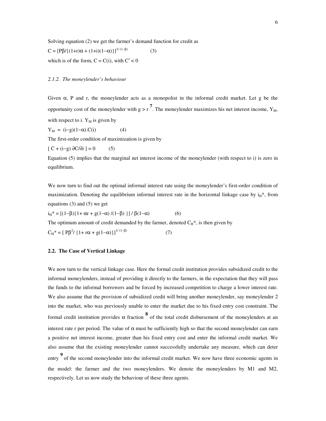Solving equation (2) we get the farmer's demand function for credit as

$$
C = [P\beta / \{(1+r)\alpha + (1+i)(1-\alpha)\}]^{1/(1-\beta)}
$$
 (

which is of the form,  $C = C(i)$ , with  $C' < 0$ 

#### *2.1.2. The moneylender's behaviour*

Given  $\alpha$ , P and r, the moneylender acts as a monopolist in the informal credit market. Let g be the opportunity cost of the moneylender with  $g > r^7$ . The moneylender maximizes his net interest income,  $Y_M$ , with respect to i.  $Y_M$  is given by

(3)

$$
Y_M = (i-g)(1-\alpha).C(i) \tag{4}
$$

The first-order condition of maximization is given by

$$
[C + (i-g) \partial C/\partial i] = 0 \tag{5}
$$

Equation (5) implies that the marginal net interest income of the moneylender (with respect to i) is zero in equilibrium.

We now turn to find out the optimal informal interest rate using the moneylender's first-order condition of maximization. Denoting the equilibrium informal interest rate in the horizontal linkage case by  $i<sub>H</sub>$ <sup>\*</sup>, from equations  $(3)$  and  $(5)$  we get

(7)

 $i_H^* = [(1-β){1+αr + g(1-α)/(1-β)}] / β(1-α)$  (6)

The optimum amount of credit demanded by the farmer, denoted  $C_H^*$ , is then given by

 $C_H^* = [Pβ^2 / {1 + rα + g(1-α)}]^{1/(1-β)}$ 

#### **2.2. The Case of Vertical Linkage**

We now turn to the vertical linkage case. Here the formal credit institution provides subsidized credit to the informal moneylenders, instead of providing it directly to the farmers, in the expectation that they will pass the funds to the informal borrowers and be forced by increased competition to charge a lower interest rate. We also assume that the provision of subsidized credit will bring another moneylender, say moneylender 2 into the market, who was previously unable to enter the market due to his fixed entry cost constraint. The formal credit institution provides  $\alpha$  fraction  $\frac{8}{3}$  of the total credit disbursement of the moneylenders at an interest rate r per period. The value of  $\alpha$  must be sufficiently high so that the second moneylender can earn a positive net interest income, greater than his fixed entry cost and enter the informal credit market. We also assume that the existing moneylender cannot successfully undertake any measure, which can deter **9**<br>entry of the second moneylender into the informal credit market. We now have three economic agents in the model: the farmer and the two moneylenders. We denote the moneylenders by M1 and M2, respectively. Let us now study the behaviour of these three agents.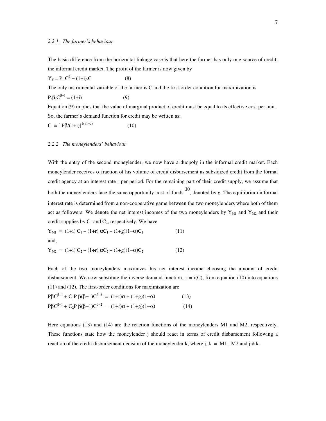#### *2.2.1. The farmer's behaviour*

The basic difference from the horizontal linkage case is that here the farmer has only one source of credit: the informal credit market. The profit of the farmer is now given by

$$
Y_F = P. C^{\beta} - (1+i).C
$$
 (8)

The only instrumental variable of the farmer is C and the first-order condition for maximization is

 $P.\beta.C^{\beta-1} = (1+i)$  (9)

Equation (9) implies that the value of marginal product of credit must be equal to its effective cost per unit. So, the farmer's demand function for credit may be written as:

$$
C = [P\beta/(1+i)]^{1/(1-\beta)}
$$
 (10)

#### *2.2.2. The moneylenders' behaviour*

With the entry of the second moneylender, we now have a duopoly in the informal credit market. Each moneylender receives  $\alpha$  fraction of his volume of credit disbursement as subsidized credit from the formal credit agency at an interest rate r per period. For the remaining part of their credit supply, we assume that both the moneylenders face the same opportunity cost of funds **10**, denoted by g. The equilibrium informal interest rate is determined from a non-cooperative game between the two moneylenders where both of them act as followers. We denote the net interest incomes of the two moneylenders by  $Y_{M1}$  and  $Y_{M2}$  and their credit supplies by  $C_1$  and  $C_2$ , respectively. We have

$$
Y_{M1} = (1+i) C_1 - (1+r) \alpha C_1 - (1+g)(1-\alpha)C_1
$$
\nand, (11)

$$
Y_{M2} = (1+i) C_2 - (1+r) \alpha C_2 - (1+g)(1-\alpha)C_2 \qquad (12)
$$

Each of the two moneylenders maximizes his net interest income choosing the amount of credit disbursement. We now substitute the inverse demand function,  $i = i(C)$ , from equation (10) into equations (11) and (12). The first-order conditions for maximization are

$$
P\beta C^{\beta-1} + C_1 P \beta (\beta - 1) C^{\beta - 2} = (1+r)\alpha + (1+g)(1-\alpha)
$$
\n(13)  
\n
$$
P\beta C^{\beta - 1} + C_2 P \beta (\beta - 1) C^{\beta - 2} = (1+r)\alpha + (1+g)(1-\alpha)
$$
\n(14)

Here equations (13) and (14) are the reaction functions of the moneylenders M1 and M2, respectively. These functions state how the moneylender j should react in terms of credit disbursement following a reaction of the credit disbursement decision of the moneylender k, where j, k = M1, M2 and  $j \neq k$ .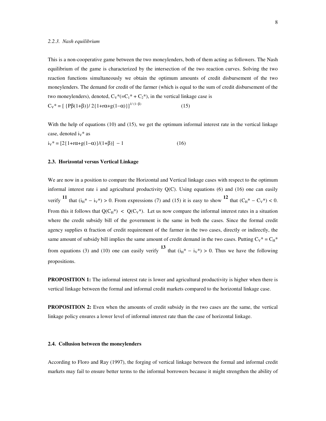This is a non-cooperative game between the two moneylenders, both of them acting as followers. The Nash equilibrium of the game is characterized by the intersection of the two reaction curves. Solving the two reaction functions simultaneously we obtain the optimum amounts of credit disbursement of the two moneylenders. The demand for credit of the farmer (which is equal to the sum of credit disbursement of the two moneylenders), denoted,  $C_V^*(-C_1^* + C_2^*)$ , in the vertical linkage case is

C<sub>V</sub>\* = [  ${Pβ(1+β)}/2{1+rα+g(1-α)}$ ]<sup>1/(1-β)</sup> (15)

With the help of equations (10) and (15), we get the optimum informal interest rate in the vertical linkage case, denoted  $i_V$ <sup>\*</sup> as

$$
i_V^* = [2{1 + r\alpha + g(1 - \alpha)}/(1 + \beta)] - 1
$$
\n(16)

#### **2.3. Horizontal versus Vertical Linkage**

We are now in a position to compare the Horizontal and Vertical linkage cases with respect to the optimum informal interest rate i and agricultural productivity  $Q(C)$ . Using equations (6) and (16) one can easily verify **<sup>11</sup>** that  $(i_H^* - i_V^*) > 0$ . From expressions (7) and (15) it is easy to show <sup>12</sup> that  $(C_H^* - C_V^*) < 0$ . From this it follows that  $Q(C_H^*)$  <  $Q(C_V^*)$ . Let us now compare the informal interest rates in a situation where the credit subsidy bill of the government is the same in both the cases. Since the formal credit agency supplies  $\alpha$  fraction of credit requirement of the farmer in the two cases, directly or indirectly, the same amount of subsidy bill implies the same amount of credit demand in the two cases. Putting  $C_V^* = C_H^*$ from equations (3) and (10) one can easily verify <sup>13</sup> that  $(i_H^* - i_V^*) > 0$ . Thus we have the following propositions.

**PROPOSITION 1:** The informal interest rate is lower and agricultural productivity is higher when there is vertical linkage between the formal and informal credit markets compared to the horizontal linkage case.

**PROPOSITION 2:** Even when the amounts of credit subsidy in the two cases are the same, the vertical linkage policy ensures a lower level of informal interest rate than the case of horizontal linkage.

#### **2.4. Collusion between the moneylenders**

According to Floro and Ray (1997), the forging of vertical linkage between the formal and informal credit markets may fail to ensure better terms to the informal borrowers because it might strengthen the ability of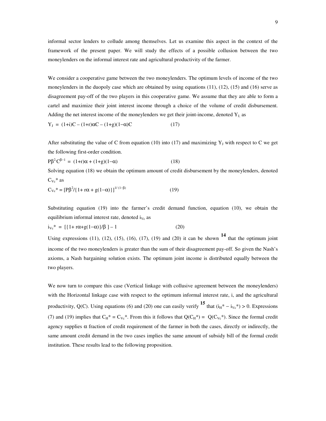informal sector lenders to collude among themselves. Let us examine this aspect in the context of the framework of the present paper. We will study the effects of a possible collusion between the two moneylenders on the informal interest rate and agricultural productivity of the farmer.

We consider a cooperative game between the two moneylenders. The optimum levels of income of the two moneylenders in the duopoly case which are obtained by using equations (11), (12), (15) and (16) serve as disagreement pay-off of the two players in this cooperative game. We assume that they are able to form a cartel and maximize their joint interest income through a choice of the volume of credit disbursement. Adding the net interest income of the moneylenders we get their joint-income, denoted  $Y<sub>J</sub>$  as

$$
Y_J = (1+i)C - (1+r)\alpha C - (1+g)(1-\alpha)C \tag{17}
$$

After substituting the value of C from equation (10) into (17) and maximizing  $Y_J$  with respect to C we get the following first-order condition.

$$
P\beta^2 C^{\beta - 1} = (1+r)\alpha + (1+g)(1-\alpha) \tag{18}
$$

Solving equation (18) we obtain the optimum amount of credit disbursement by the moneylenders, denoted  $C_{Vc}$ <sup>\*</sup> as

$$
C_{Vc}^* = [P\beta^2 / \{1 + r\alpha + g(1-\alpha)\}]^{1/(1-\beta)}
$$
(19)

Substituting equation (19) into the farmer's credit demand function, equation (10), we obtain the equilibrium informal interest rate, denoted  $i_{Vc}$  as

$$
i_{Vc}^* = [\{1 + r\alpha + g(1-\alpha)\}/\beta] - 1 \tag{20}
$$

Using expressions (11), (12), (15), (16), (17), (19) and (20) it can be shown **14** that the optimum joint income of the two moneylenders is greater than the sum of their disagreement pay-off. So given the Nash's axioms, a Nash bargaining solution exists. The optimum joint income is distributed equally between the two players.

We now turn to compare this case (Vertical linkage with collusive agreement between the moneylenders) with the Horizontal linkage case with respect to the optimum informal interest rate, i, and the agricultural productivity, Q(C). Using equations (6) and (20) one can easily verify <sup>15</sup> that  $(i_H^* - i_{Vc}^*) > 0$ . Expressions (7) and (19) implies that  $C_H^* = C_{Vc}^*$ . From this it follows that  $Q(C_H^*) = Q(C_{Vc}^*)$ . Since the formal credit agency supplies  $\alpha$  fraction of credit requirement of the farmer in both the cases, directly or indirectly, the same amount credit demand in the two cases implies the same amount of subsidy bill of the formal credit institution. These results lead to the following proposition.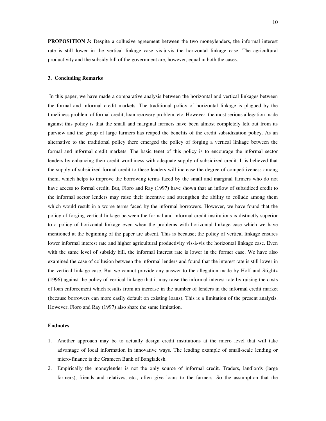**PROPOSITION 3:** Despite a collusive agreement between the two moneylenders, the informal interest rate is still lower in the vertical linkage case vis-à-vis the horizontal linkage case. The agricultural productivity and the subsidy bill of the government are, however, equal in both the cases.

#### **3. Concluding Remarks**

In this paper, we have made a comparative analysis between the horizontal and vertical linkages between the formal and informal credit markets. The traditional policy of horizontal linkage is plagued by the timeliness problem of formal credit, loan recovery problem, etc. However, the most serious allegation made against this policy is that the small and marginal farmers have been almost completely left out from its purview and the group of large farmers has reaped the benefits of the credit subsidization policy. As an alternative to the traditional policy there emerged the policy of forging a vertical linkage between the formal and informal credit markets. The basic tenet of this policy is to encourage the informal sector lenders by enhancing their credit worthiness with adequate supply of subsidized credit. It is believed that the supply of subsidized formal credit to these lenders will increase the degree of competitiveness among them, which helps to improve the borrowing terms faced by the small and marginal farmers who do not have access to formal credit. But, Floro and Ray (1997) have shown that an inflow of subsidized credit to the informal sector lenders may raise their incentive and strengthen the ability to collude among them which would result in a worse terms faced by the informal borrowers. However, we have found that the policy of forging vertical linkage between the formal and informal credit institutions is distinctly superior to a policy of horizontal linkage even when the problems with horizontal linkage case which we have mentioned at the beginning of the paper are absent. This is because; the policy of vertical linkage ensures lower informal interest rate and higher agricultural productivity vis-à-vis the horizontal linkage case. Even with the same level of subsidy bill, the informal interest rate is lower in the former case. We have also examined the case of collusion between the informal lenders and found that the interest rate is still lower in the vertical linkage case. But we cannot provide any answer to the allegation made by Hoff and Stiglitz (1996) against the policy of vertical linkage that it may raise the informal interest rate by raising the costs of loan enforcement which results from an increase in the number of lenders in the informal credit market (because borrowers can more easily default on existing loans). This is a limitation of the present analysis. However, Floro and Ray (1997) also share the same limitation.

#### **Endnotes**

- 1. Another approach may be to actually design credit institutions at the micro level that will take advantage of local information in innovative ways. The leading example of small-scale lending or micro-finance is the Grameen Bank of Bangladesh.
- 2. Empirically the moneylender is not the only source of informal credit. Traders, landlords (large farmers), friends and relatives, etc., often give loans to the farmers. So the assumption that the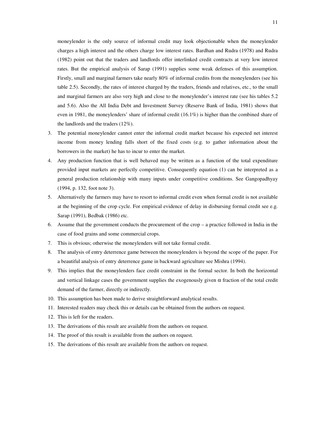moneylender is the only source of informal credit may look objectionable when the moneylender charges a high interest and the others charge low interest rates. Bardhan and Rudra (1978) and Rudra (1982) point out that the traders and landlords offer interlinked credit contracts at very low interest rates. But the empirical analysis of Sarap (1991) supplies some weak defenses of this assumption. Firstly, small and marginal farmers take nearly 80% of informal credits from the moneylenders (see his table 2.5). Secondly, the rates of interest charged by the traders, friends and relatives, etc., to the small and marginal farmers are also very high and close to the moneylender's interest rate (see his tables 5.2 and 5.6). Also the All India Debt and Investment Survey (Reserve Bank of India, 1981) shows that even in 1981, the moneylenders' share of informal credit (16.1%) is higher than the combined share of the landlords and the traders (12%).

- 3. The potential moneylender cannot enter the informal credit market because his expected net interest income from money lending falls short of the fixed costs (e.g. to gather information about the borrowers in the market) he has to incur to enter the market.
- 4. Any production function that is well behaved may be written as a function of the total expenditure provided input markets are perfectly competitive. Consequently equation (1) can be interpreted as a general production relationship with many inputs under competitive conditions. See Gangopadhyay (1994, p. 132, foot note 3).
- 5. Alternatively the farmers may have to resort to informal credit even when formal credit is not available at the beginning of the crop cycle. For empirical evidence of delay in disbursing formal credit see e.g. Sarap (1991), Bedbak (1986) etc.
- 6. Assume that the government conducts the procurement of the crop a practice followed in India in the case of food grains and some commercial crops.
- 7. This is obvious; otherwise the moneylenders will not take formal credit.
- 8. The analysis of entry deterrence game between the moneylenders is beyond the scope of the paper. For a beautiful analysis of entry deterrence game in backward agriculture see Mishra (1994).
- 9. This implies that the moneylenders face credit constraint in the formal sector. In both the horizontal and vertical linkage cases the government supplies the exogenously given  $\alpha$  fraction of the total credit demand of the farmer, directly or indirectly.
- 10. This assumption has been made to derive straightforward analytical results.
- 11. Interested readers may check this or details can be obtained from the authors on request.
- 12. This is left for the readers.
- 13. The derivations of this result are available from the authors on request.
- 14. The proof of this result is available from the authors on request.
- 15. The derivations of this result are available from the authors on request.